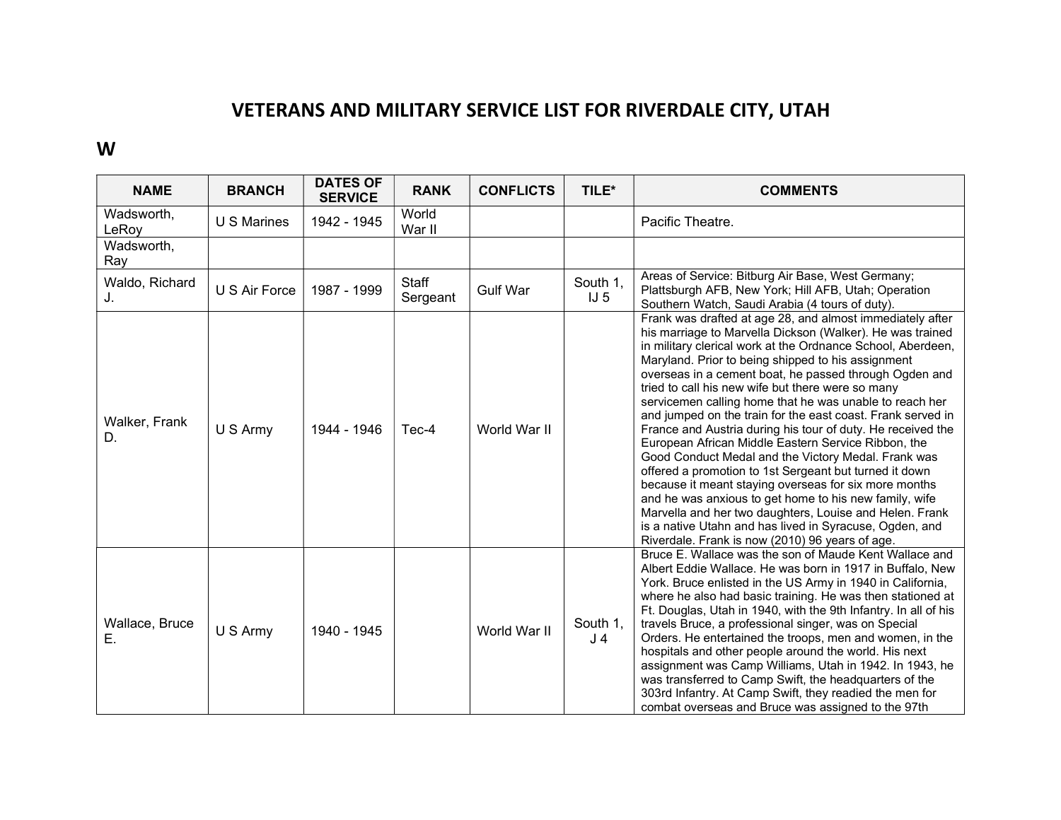## VETERANS AND MILITARY SERVICE LIST FOR RIVERDALE CITY, UTAH

## W

| <b>NAME</b>          | <b>BRANCH</b> | <b>DATES OF</b><br><b>SERVICE</b> | <b>RANK</b>       | <b>CONFLICTS</b> | TILE*                       | <b>COMMENTS</b>                                                                                                                                                                                                                                                                                                                                                                                                                                                                                                                                                                                                                                                                                                                                                                                                                                                                                                                                                                                                         |
|----------------------|---------------|-----------------------------------|-------------------|------------------|-----------------------------|-------------------------------------------------------------------------------------------------------------------------------------------------------------------------------------------------------------------------------------------------------------------------------------------------------------------------------------------------------------------------------------------------------------------------------------------------------------------------------------------------------------------------------------------------------------------------------------------------------------------------------------------------------------------------------------------------------------------------------------------------------------------------------------------------------------------------------------------------------------------------------------------------------------------------------------------------------------------------------------------------------------------------|
| Wadsworth,<br>LeRoy  | U S Marines   | 1942 - 1945                       | World<br>War II   |                  |                             | Pacific Theatre.                                                                                                                                                                                                                                                                                                                                                                                                                                                                                                                                                                                                                                                                                                                                                                                                                                                                                                                                                                                                        |
| Wadsworth,<br>Ray    |               |                                   |                   |                  |                             |                                                                                                                                                                                                                                                                                                                                                                                                                                                                                                                                                                                                                                                                                                                                                                                                                                                                                                                                                                                                                         |
| Waldo, Richard<br>J. | U S Air Force | 1987 - 1999                       | Staff<br>Sergeant | <b>Gulf War</b>  | South 1,<br>IJ <sub>5</sub> | Areas of Service: Bitburg Air Base, West Germany;<br>Plattsburgh AFB, New York; Hill AFB, Utah; Operation<br>Southern Watch, Saudi Arabia (4 tours of duty).                                                                                                                                                                                                                                                                                                                                                                                                                                                                                                                                                                                                                                                                                                                                                                                                                                                            |
| Walker, Frank<br>D.  | U S Army      | 1944 - 1946                       | Tec-4             | World War II     |                             | Frank was drafted at age 28, and almost immediately after<br>his marriage to Marvella Dickson (Walker). He was trained<br>in military clerical work at the Ordnance School, Aberdeen,<br>Maryland. Prior to being shipped to his assignment<br>overseas in a cement boat, he passed through Ogden and<br>tried to call his new wife but there were so many<br>servicemen calling home that he was unable to reach her<br>and jumped on the train for the east coast. Frank served in<br>France and Austria during his tour of duty. He received the<br>European African Middle Eastern Service Ribbon, the<br>Good Conduct Medal and the Victory Medal. Frank was<br>offered a promotion to 1st Sergeant but turned it down<br>because it meant staying overseas for six more months<br>and he was anxious to get home to his new family, wife<br>Marvella and her two daughters, Louise and Helen. Frank<br>is a native Utahn and has lived in Syracuse, Ogden, and<br>Riverdale. Frank is now (2010) 96 years of age. |
| Wallace, Bruce<br>Ε. | U S Army      | 1940 - 1945                       |                   | World War II     | South 1,<br>J <sub>4</sub>  | Bruce E. Wallace was the son of Maude Kent Wallace and<br>Albert Eddie Wallace. He was born in 1917 in Buffalo, New<br>York. Bruce enlisted in the US Army in 1940 in California,<br>where he also had basic training. He was then stationed at<br>Ft. Douglas, Utah in 1940, with the 9th Infantry. In all of his<br>travels Bruce, a professional singer, was on Special<br>Orders. He entertained the troops, men and women, in the<br>hospitals and other people around the world. His next<br>assignment was Camp Williams, Utah in 1942. In 1943, he<br>was transferred to Camp Swift, the headquarters of the<br>303rd Infantry. At Camp Swift, they readied the men for<br>combat overseas and Bruce was assigned to the 97th                                                                                                                                                                                                                                                                                   |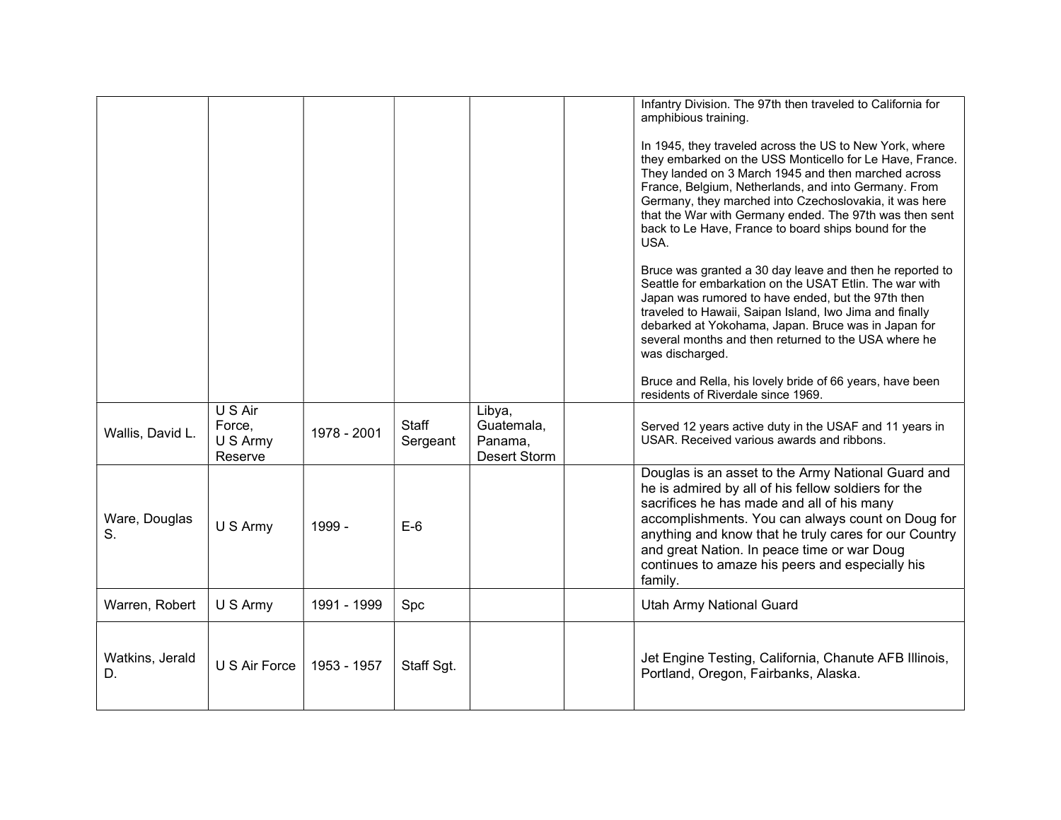|                       |                                          |             |                   |                                                        | Infantry Division. The 97th then traveled to California for<br>amphibious training.<br>In 1945, they traveled across the US to New York, where<br>they embarked on the USS Monticello for Le Have, France.<br>They landed on 3 March 1945 and then marched across<br>France, Belgium, Netherlands, and into Germany. From<br>Germany, they marched into Czechoslovakia, it was here<br>that the War with Germany ended. The 97th was then sent<br>back to Le Have, France to board ships bound for the<br>USA.<br>Bruce was granted a 30 day leave and then he reported to<br>Seattle for embarkation on the USAT Etlin. The war with<br>Japan was rumored to have ended, but the 97th then<br>traveled to Hawaii, Saipan Island, Iwo Jima and finally<br>debarked at Yokohama, Japan. Bruce was in Japan for<br>several months and then returned to the USA where he<br>was discharged.<br>Bruce and Rella, his lovely bride of 66 years, have been<br>residents of Riverdale since 1969. |
|-----------------------|------------------------------------------|-------------|-------------------|--------------------------------------------------------|--------------------------------------------------------------------------------------------------------------------------------------------------------------------------------------------------------------------------------------------------------------------------------------------------------------------------------------------------------------------------------------------------------------------------------------------------------------------------------------------------------------------------------------------------------------------------------------------------------------------------------------------------------------------------------------------------------------------------------------------------------------------------------------------------------------------------------------------------------------------------------------------------------------------------------------------------------------------------------------------|
| Wallis, David L.      | U S Air<br>Force,<br>U S Army<br>Reserve | 1978 - 2001 | Staff<br>Sergeant | Libya,<br>Guatemala,<br>Panama,<br><b>Desert Storm</b> | Served 12 years active duty in the USAF and 11 years in<br>USAR. Received various awards and ribbons.                                                                                                                                                                                                                                                                                                                                                                                                                                                                                                                                                                                                                                                                                                                                                                                                                                                                                      |
| Ware, Douglas<br>S.   | U S Army                                 | 1999 -      | $E-6$             |                                                        | Douglas is an asset to the Army National Guard and<br>he is admired by all of his fellow soldiers for the<br>sacrifices he has made and all of his many<br>accomplishments. You can always count on Doug for<br>anything and know that he truly cares for our Country<br>and great Nation. In peace time or war Doug<br>continues to amaze his peers and especially his<br>family.                                                                                                                                                                                                                                                                                                                                                                                                                                                                                                                                                                                                         |
| Warren, Robert        | U S Army                                 | 1991 - 1999 | Spc               |                                                        | <b>Utah Army National Guard</b>                                                                                                                                                                                                                                                                                                                                                                                                                                                                                                                                                                                                                                                                                                                                                                                                                                                                                                                                                            |
| Watkins, Jerald<br>D. | U S Air Force                            | 1953 - 1957 | Staff Sgt.        |                                                        | Jet Engine Testing, California, Chanute AFB Illinois,<br>Portland, Oregon, Fairbanks, Alaska.                                                                                                                                                                                                                                                                                                                                                                                                                                                                                                                                                                                                                                                                                                                                                                                                                                                                                              |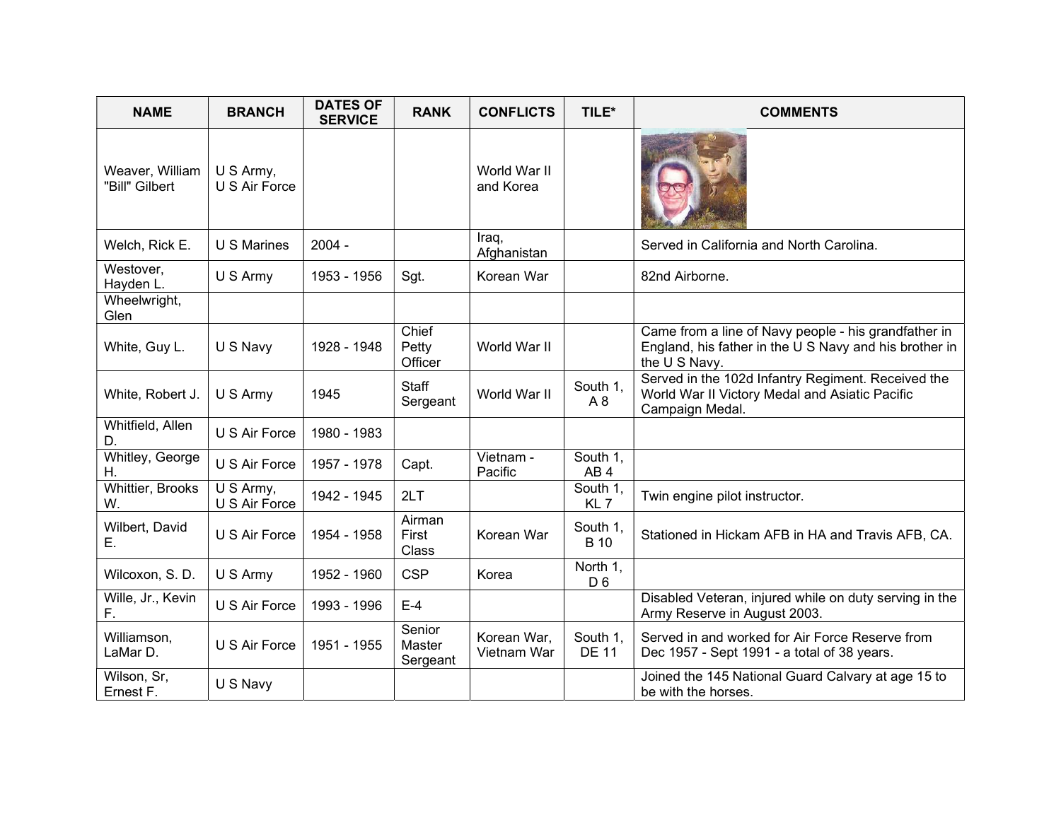| <b>NAME</b>                       | <b>BRANCH</b>              | <b>DATES OF</b><br><b>SERVICE</b> | <b>RANK</b>                  | <b>CONFLICTS</b>           | TILE*                       | <b>COMMENTS</b>                                                                                                                 |
|-----------------------------------|----------------------------|-----------------------------------|------------------------------|----------------------------|-----------------------------|---------------------------------------------------------------------------------------------------------------------------------|
| Weaver, William<br>"Bill" Gilbert | U S Army,<br>U S Air Force |                                   |                              | World War II<br>and Korea  |                             |                                                                                                                                 |
| Welch, Rick E.                    | <b>U S Marines</b>         | $2004 -$                          |                              | Iraq,<br>Afghanistan       |                             | Served in California and North Carolina.                                                                                        |
| Westover,<br>Hayden L.            | U S Army                   | 1953 - 1956                       | Sgt.                         | Korean War                 |                             | 82nd Airborne.                                                                                                                  |
| Wheelwright,<br>Glen              |                            |                                   |                              |                            |                             |                                                                                                                                 |
| White, Guy L.                     | U S Navy                   | 1928 - 1948                       | Chief<br>Petty<br>Officer    | World War II               |                             | Came from a line of Navy people - his grandfather in<br>England, his father in the U S Navy and his brother in<br>the U S Navy. |
| White, Robert J.                  | U S Army                   | 1945                              | <b>Staff</b><br>Sergeant     | World War II               | South 1,<br>A8              | Served in the 102d Infantry Regiment. Received the<br>World War II Victory Medal and Asiatic Pacific<br>Campaign Medal.         |
| Whitfield, Allen<br>D.            | U S Air Force              | 1980 - 1983                       |                              |                            |                             |                                                                                                                                 |
| Whitley, George<br>Η.             | U S Air Force              | 1957 - 1978                       | Capt.                        | Vietnam -<br>Pacific       | South 1,<br>AB <sub>4</sub> |                                                                                                                                 |
| Whittier, Brooks<br>W.            | U S Army,<br>U S Air Force | 1942 - 1945                       | 2LT                          |                            | South 1,<br>KL <sub>7</sub> | Twin engine pilot instructor.                                                                                                   |
| Wilbert, David<br>Е.              | U S Air Force              | 1954 - 1958                       | Airman<br>First<br>Class     | Korean War                 | South 1,<br><b>B</b> 10     | Stationed in Hickam AFB in HA and Travis AFB, CA.                                                                               |
| Wilcoxon, S. D.                   | U S Army                   | 1952 - 1960                       | <b>CSP</b>                   | Korea                      | North 1,<br>D <sub>6</sub>  |                                                                                                                                 |
| Wille, Jr., Kevin<br>F.           | U S Air Force              | 1993 - 1996                       | $E-4$                        |                            |                             | Disabled Veteran, injured while on duty serving in the<br>Army Reserve in August 2003.                                          |
| Williamson,<br>LaMar D.           | U S Air Force              | 1951 - 1955                       | Senior<br>Master<br>Sergeant | Korean War,<br>Vietnam War | South 1,<br><b>DE 11</b>    | Served in and worked for Air Force Reserve from<br>Dec 1957 - Sept 1991 - a total of 38 years.                                  |
| Wilson, Sr,<br>Ernest F.          | U S Navy                   |                                   |                              |                            |                             | Joined the 145 National Guard Calvary at age 15 to<br>be with the horses.                                                       |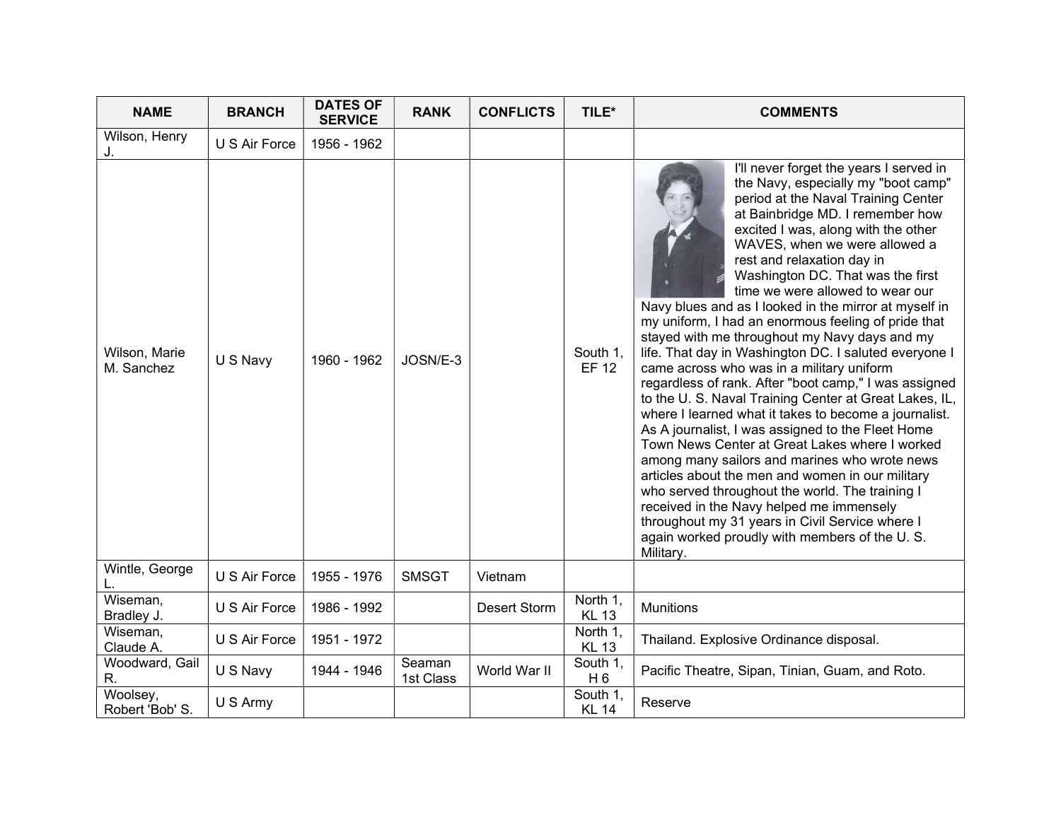| <b>NAME</b>                 | <b>BRANCH</b> | <b>DATES OF</b><br><b>SERVICE</b> | <b>RANK</b>         | <b>CONFLICTS</b> | TILE*                      | <b>COMMENTS</b>                                                                                                                                                                                                                                                                                                                                                                                                                                                                                                                                                                                                                                                                                                                                                                                                                                                                                                                                                                                                                                                                                                                                                                                                         |
|-----------------------------|---------------|-----------------------------------|---------------------|------------------|----------------------------|-------------------------------------------------------------------------------------------------------------------------------------------------------------------------------------------------------------------------------------------------------------------------------------------------------------------------------------------------------------------------------------------------------------------------------------------------------------------------------------------------------------------------------------------------------------------------------------------------------------------------------------------------------------------------------------------------------------------------------------------------------------------------------------------------------------------------------------------------------------------------------------------------------------------------------------------------------------------------------------------------------------------------------------------------------------------------------------------------------------------------------------------------------------------------------------------------------------------------|
| Wilson, Henry<br>J.         | U S Air Force | 1956 - 1962                       |                     |                  |                            |                                                                                                                                                                                                                                                                                                                                                                                                                                                                                                                                                                                                                                                                                                                                                                                                                                                                                                                                                                                                                                                                                                                                                                                                                         |
| Wilson, Marie<br>M. Sanchez | U S Navy      | 1960 - 1962                       | JOSN/E-3            |                  | South 1,<br><b>EF 12</b>   | I'll never forget the years I served in<br>the Navy, especially my "boot camp"<br>period at the Naval Training Center<br>at Bainbridge MD. I remember how<br>excited I was, along with the other<br>WAVES, when we were allowed a<br>rest and relaxation day in<br>Washington DC. That was the first<br>time we were allowed to wear our<br>Navy blues and as I looked in the mirror at myself in<br>my uniform, I had an enormous feeling of pride that<br>stayed with me throughout my Navy days and my<br>life. That day in Washington DC. I saluted everyone I<br>came across who was in a military uniform<br>regardless of rank. After "boot camp," I was assigned<br>to the U. S. Naval Training Center at Great Lakes, IL,<br>where I learned what it takes to become a journalist.<br>As A journalist, I was assigned to the Fleet Home<br>Town News Center at Great Lakes where I worked<br>among many sailors and marines who wrote news<br>articles about the men and women in our military<br>who served throughout the world. The training I<br>received in the Navy helped me immensely<br>throughout my 31 years in Civil Service where I<br>again worked proudly with members of the U.S.<br>Military. |
| Wintle, George              | U S Air Force | 1955 - 1976                       | <b>SMSGT</b>        | Vietnam          |                            |                                                                                                                                                                                                                                                                                                                                                                                                                                                                                                                                                                                                                                                                                                                                                                                                                                                                                                                                                                                                                                                                                                                                                                                                                         |
| Wiseman,<br>Bradley J.      | U S Air Force | 1986 - 1992                       |                     | Desert Storm     | North 1,<br><b>KL 13</b>   | <b>Munitions</b>                                                                                                                                                                                                                                                                                                                                                                                                                                                                                                                                                                                                                                                                                                                                                                                                                                                                                                                                                                                                                                                                                                                                                                                                        |
| Wiseman,<br>Claude A.       | U S Air Force | 1951 - 1972                       |                     |                  | North 1,<br><b>KL 13</b>   | Thailand. Explosive Ordinance disposal.                                                                                                                                                                                                                                                                                                                                                                                                                                                                                                                                                                                                                                                                                                                                                                                                                                                                                                                                                                                                                                                                                                                                                                                 |
| Woodward, Gail<br>R.        | U S Navy      | 1944 - 1946                       | Seaman<br>1st Class | World War II     | South 1,<br>H <sub>6</sub> | Pacific Theatre, Sipan, Tinian, Guam, and Roto.                                                                                                                                                                                                                                                                                                                                                                                                                                                                                                                                                                                                                                                                                                                                                                                                                                                                                                                                                                                                                                                                                                                                                                         |
| Woolsey,<br>Robert 'Bob' S. | U S Army      |                                   |                     |                  | South 1,<br><b>KL 14</b>   | Reserve                                                                                                                                                                                                                                                                                                                                                                                                                                                                                                                                                                                                                                                                                                                                                                                                                                                                                                                                                                                                                                                                                                                                                                                                                 |